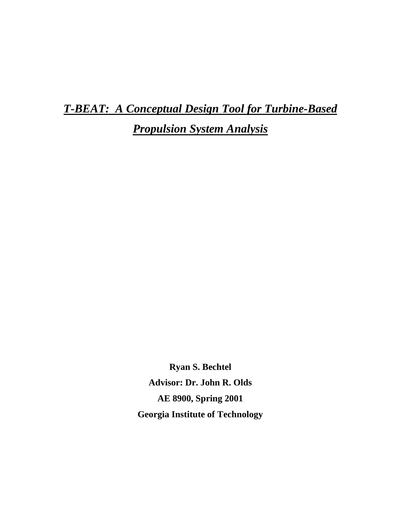*T-BEAT: A Conceptual Design Tool for Turbine-Based* 

*Propulsion System Analysis*

**Ryan S. Bechtel Advisor: Dr. John R. Olds AE 8900, Spring 2001 Georgia Institute of Technology**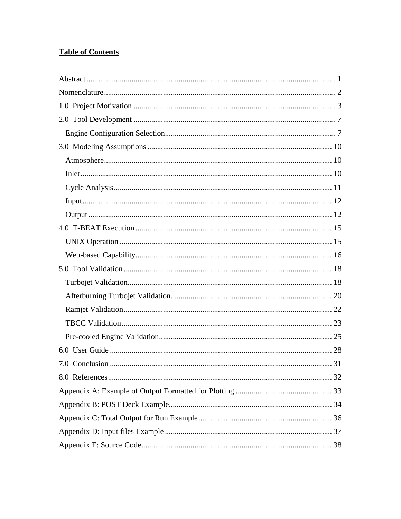# **Table of Contents**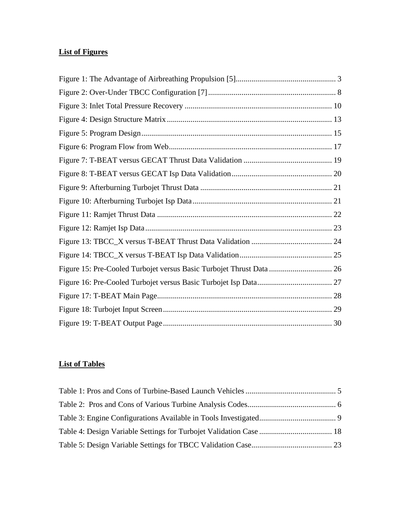# **List of Figures**

### **List of Tables**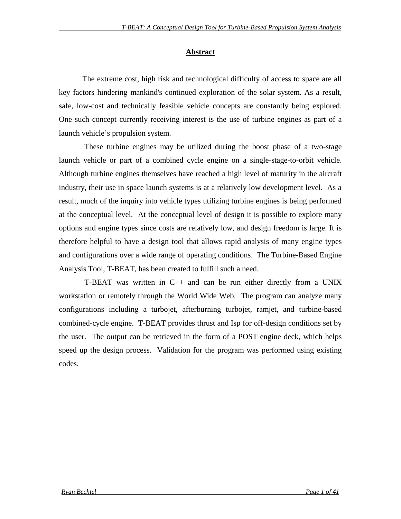### **Abstract**

The extreme cost, high risk and technological difficulty of access to space are all key factors hindering mankind's continued exploration of the solar system. As a result, safe, low-cost and technically feasible vehicle concepts are constantly being explored. One such concept currently receiving interest is the use of turbine engines as part of a launch vehicle's propulsion system.

 These turbine engines may be utilized during the boost phase of a two-stage launch vehicle or part of a combined cycle engine on a single-stage-to-orbit vehicle. Although turbine engines themselves have reached a high level of maturity in the aircraft industry, their use in space launch systems is at a relatively low development level. As a result, much of the inquiry into vehicle types utilizing turbine engines is being performed at the conceptual level. At the conceptual level of design it is possible to explore many options and engine types since costs are relatively low, and design freedom is large. It is therefore helpful to have a design tool that allows rapid analysis of many engine types and configurations over a wide range of operating conditions. The Turbine-Based Engine Analysis Tool, T-BEAT, has been created to fulfill such a need.

T-BEAT was written in  $C_{++}$  and can be run either directly from a UNIX workstation or remotely through the World Wide Web. The program can analyze many configurations including a turbojet, afterburning turbojet, ramjet, and turbine-based combined-cycle engine. T-BEAT provides thrust and Isp for off-design conditions set by the user. The output can be retrieved in the form of a POST engine deck, which helps speed up the design process. Validation for the program was performed using existing codes.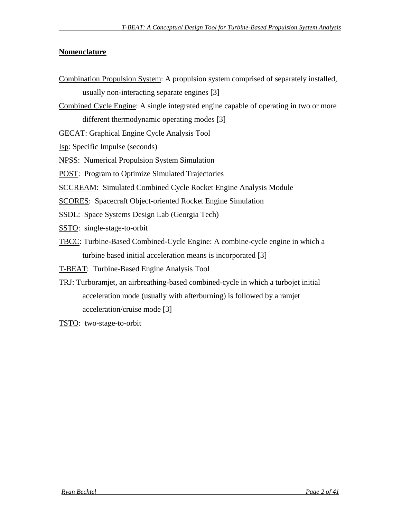### **Nomenclature**

Combination Propulsion System: A propulsion system comprised of separately installed, usually non-interacting separate engines [3] Combined Cycle Engine: A single integrated engine capable of operating in two or more different thermodynamic operating modes [3] GECAT: Graphical Engine Cycle Analysis Tool Isp: Specific Impulse (seconds) NPSS: Numerical Propulsion System Simulation POST: Program to Optimize Simulated Trajectories SCCREAM: Simulated Combined Cycle Rocket Engine Analysis Module SCORES: Spacecraft Object-oriented Rocket Engine Simulation SSDL: Space Systems Design Lab (Georgia Tech) SSTO: single-stage-to-orbit TBCC: Turbine-Based Combined-Cycle Engine: A combine-cycle engine in which a turbine based initial acceleration means is incorporated [3] T-BEAT: Turbine-Based Engine Analysis Tool TRJ: Turboramjet, an airbreathing-based combined-cycle in which a turbojet initial acceleration mode (usually with afterburning) is followed by a ramjet acceleration/cruise mode [3]

TSTO: two-stage-to-orbit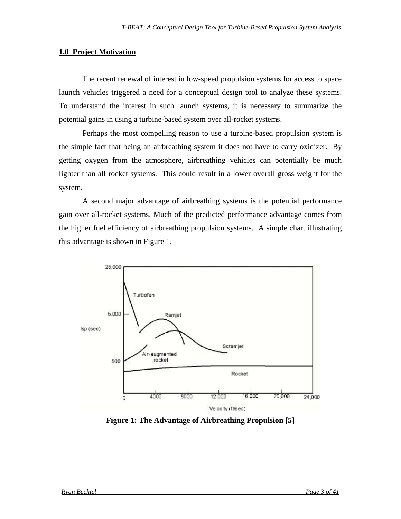#### **1.0 Project Motivation**

The recent renewal of interest in low-speed propulsion systems for access to space launch vehicles triggered a need for a conceptual design tool to analyze these systems. To understand the interest in such launch systems, it is necessary to summarize the potential gains in using a turbine-based system over all-rocket systems.

Perhaps the most compelling reason to use a turbine-based propulsion system is the simple fact that being an airbreathing system it does not have to carry oxidizer. By getting oxygen from the atmosphere, airbreathing vehicles can potentially be much lighter than all rocket systems. This could result in a lower overall gross weight for the system.

A second major advantage of airbreathing systems is the potential performance gain over all-rocket systems. Much of the predicted performance advantage comes from the higher fuel efficiency of airbreathing propulsion systems. A simple chart illustrating this advantage is shown in Figure 1.



**Figure 1: The Advantage of Airbreathing Propulsion [5]**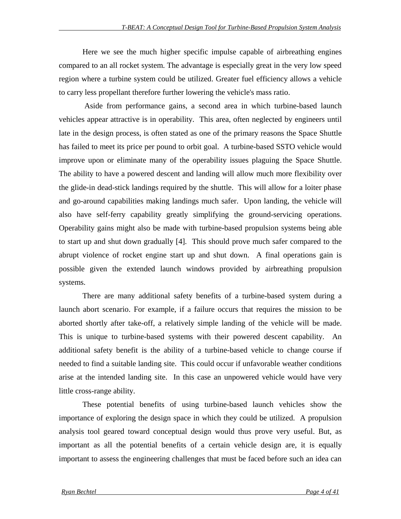Here we see the much higher specific impulse capable of airbreathing engines compared to an all rocket system. The advantage is especially great in the very low speed region where a turbine system could be utilized. Greater fuel efficiency allows a vehicle to carry less propellant therefore further lowering the vehicle's mass ratio.

 Aside from performance gains, a second area in which turbine-based launch vehicles appear attractive is in operability. This area, often neglected by engineers until late in the design process, is often stated as one of the primary reasons the Space Shuttle has failed to meet its price per pound to orbit goal. A turbine-based SSTO vehicle would improve upon or eliminate many of the operability issues plaguing the Space Shuttle. The ability to have a powered descent and landing will allow much more flexibility over the glide-in dead-stick landings required by the shuttle. This will allow for a loiter phase and go-around capabilities making landings much safer. Upon landing, the vehicle will also have self-ferry capability greatly simplifying the ground-servicing operations. Operability gains might also be made with turbine-based propulsion systems being able to start up and shut down gradually [4]. This should prove much safer compared to the abrupt violence of rocket engine start up and shut down. A final operations gain is possible given the extended launch windows provided by airbreathing propulsion systems.

There are many additional safety benefits of a turbine-based system during a launch abort scenario. For example, if a failure occurs that requires the mission to be aborted shortly after take-off, a relatively simple landing of the vehicle will be made. This is unique to turbine-based systems with their powered descent capability. An additional safety benefit is the ability of a turbine-based vehicle to change course if needed to find a suitable landing site. This could occur if unfavorable weather conditions arise at the intended landing site. In this case an unpowered vehicle would have very little cross-range ability.

These potential benefits of using turbine-based launch vehicles show the importance of exploring the design space in which they could be utilized. A propulsion analysis tool geared toward conceptual design would thus prove very useful. But, as important as all the potential benefits of a certain vehicle design are, it is equally important to assess the engineering challenges that must be faced before such an idea can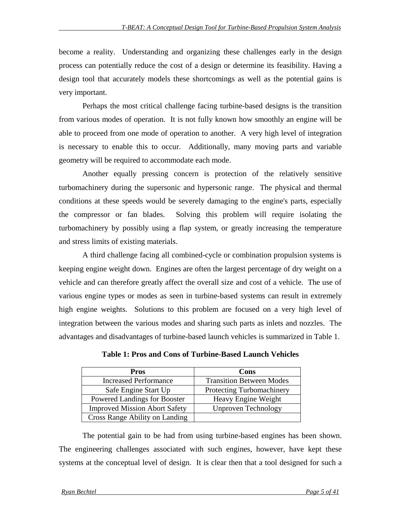become a reality. Understanding and organizing these challenges early in the design process can potentially reduce the cost of a design or determine its feasibility. Having a design tool that accurately models these shortcomings as well as the potential gains is very important.

Perhaps the most critical challenge facing turbine-based designs is the transition from various modes of operation. It is not fully known how smoothly an engine will be able to proceed from one mode of operation to another. A very high level of integration is necessary to enable this to occur. Additionally, many moving parts and variable geometry will be required to accommodate each mode.

Another equally pressing concern is protection of the relatively sensitive turbomachinery during the supersonic and hypersonic range. The physical and thermal conditions at these speeds would be severely damaging to the engine's parts, especially the compressor or fan blades. Solving this problem will require isolating the turbomachinery by possibly using a flap system, or greatly increasing the temperature and stress limits of existing materials.

A third challenge facing all combined-cycle or combination propulsion systems is keeping engine weight down. Engines are often the largest percentage of dry weight on a vehicle and can therefore greatly affect the overall size and cost of a vehicle. The use of various engine types or modes as seen in turbine-based systems can result in extremely high engine weights. Solutions to this problem are focused on a very high level of integration between the various modes and sharing such parts as inlets and nozzles. The advantages and disadvantages of turbine-based launch vehicles is summarized in Table 1.

| Pros                                 | Cons                             |
|--------------------------------------|----------------------------------|
| <b>Increased Performance</b>         | <b>Transition Between Modes</b>  |
| Safe Engine Start Up                 | <b>Protecting Turbomachinery</b> |
| Powered Landings for Booster         | Heavy Engine Weight              |
| <b>Improved Mission Abort Safety</b> | <b>Unproven Technology</b>       |
| Cross Range Ability on Landing       |                                  |

**Table 1: Pros and Cons of Turbine-Based Launch Vehicles**

The potential gain to be had from using turbine-based engines has been shown. The engineering challenges associated with such engines, however, have kept these systems at the conceptual level of design. It is clear then that a tool designed for such a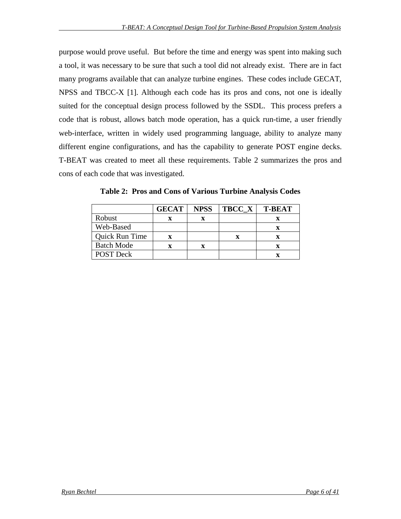purpose would prove useful. But before the time and energy was spent into making such a tool, it was necessary to be sure that such a tool did not already exist. There are in fact many programs available that can analyze turbine engines. These codes include GECAT, NPSS and TBCC-X [1]. Although each code has its pros and cons, not one is ideally suited for the conceptual design process followed by the SSDL. This process prefers a code that is robust, allows batch mode operation, has a quick run-time, a user friendly web-interface, written in widely used programming language, ability to analyze many different engine configurations, and has the capability to generate POST engine decks. T-BEAT was created to meet all these requirements. Table 2 summarizes the pros and cons of each code that was investigated.

|                   | <b>GECAT</b> | <b>NPSS</b> | TBCC X | <b>T-BEAT</b> |
|-------------------|--------------|-------------|--------|---------------|
| Robust            |              |             |        |               |
| Web-Based         |              |             |        |               |
| Quick Run Time    |              |             | x      |               |
| <b>Batch Mode</b> |              | x           |        |               |
| <b>POST Deck</b>  |              |             |        |               |

**Table 2: Pros and Cons of Various Turbine Analysis Codes**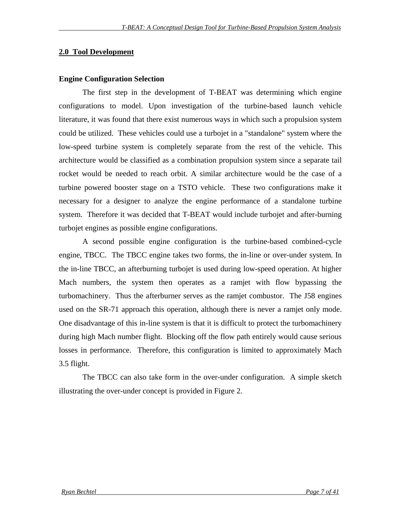#### **2.0 Tool Development**

#### **Engine Configuration Selection**

The first step in the development of T-BEAT was determining which engine configurations to model. Upon investigation of the turbine-based launch vehicle literature, it was found that there exist numerous ways in which such a propulsion system could be utilized. These vehicles could use a turbojet in a "standalone" system where the low-speed turbine system is completely separate from the rest of the vehicle. This architecture would be classified as a combination propulsion system since a separate tail rocket would be needed to reach orbit. A similar architecture would be the case of a turbine powered booster stage on a TSTO vehicle. These two configurations make it necessary for a designer to analyze the engine performance of a standalone turbine system. Therefore it was decided that T-BEAT would include turbojet and after-burning turbojet engines as possible engine configurations.

A second possible engine configuration is the turbine-based combined-cycle engine, TBCC. The TBCC engine takes two forms, the in-line or over-under system. In the in-line TBCC, an afterburning turbojet is used during low-speed operation. At higher Mach numbers, the system then operates as a ramjet with flow bypassing the turbomachinery. Thus the afterburner serves as the ramjet combustor. The J58 engines used on the SR-71 approach this operation, although there is never a ramjet only mode. One disadvantage of this in-line system is that it is difficult to protect the turbomachinery during high Mach number flight. Blocking off the flow path entirely would cause serious losses in performance. Therefore, this configuration is limited to approximately Mach 3.5 flight.

The TBCC can also take form in the over-under configuration. A simple sketch illustrating the over-under concept is provided in Figure 2.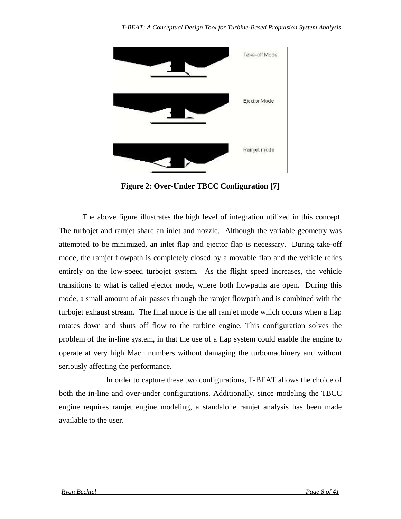

**Figure 2: Over-Under TBCC Configuration [7]**

The above figure illustrates the high level of integration utilized in this concept. The turbojet and ramjet share an inlet and nozzle. Although the variable geometry was attempted to be minimized, an inlet flap and ejector flap is necessary. During take-off mode, the ramjet flowpath is completely closed by a movable flap and the vehicle relies entirely on the low-speed turbojet system. As the flight speed increases, the vehicle transitions to what is called ejector mode, where both flowpaths are open. During this mode, a small amount of air passes through the ramjet flowpath and is combined with the turbojet exhaust stream. The final mode is the all ramjet mode which occurs when a flap rotates down and shuts off flow to the turbine engine. This configuration solves the problem of the in-line system, in that the use of a flap system could enable the engine to operate at very high Mach numbers without damaging the turbomachinery and without seriously affecting the performance.

In order to capture these two configurations, T-BEAT allows the choice of both the in-line and over-under configurations. Additionally, since modeling the TBCC engine requires ramjet engine modeling, a standalone ramjet analysis has been made available to the user.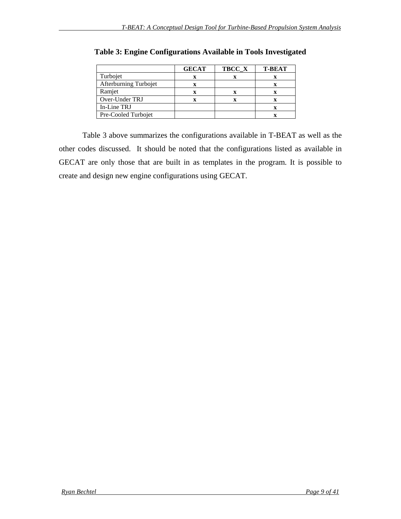|                       | <b>GECAT</b> | TBCC_X | <b>T-BEAT</b> |
|-----------------------|--------------|--------|---------------|
| Turbojet              |              |        |               |
| Afterburning Turbojet |              |        |               |
| Ramjet                |              |        |               |
| Over-Under TRJ        |              | X      |               |
| In-Line TRJ           |              |        |               |
| Pre-Cooled Turbojet   |              |        |               |

**Table 3: Engine Configurations Available in Tools Investigated**

Table 3 above summarizes the configurations available in T-BEAT as well as the other codes discussed. It should be noted that the configurations listed as available in GECAT are only those that are built in as templates in the program. It is possible to create and design new engine configurations using GECAT.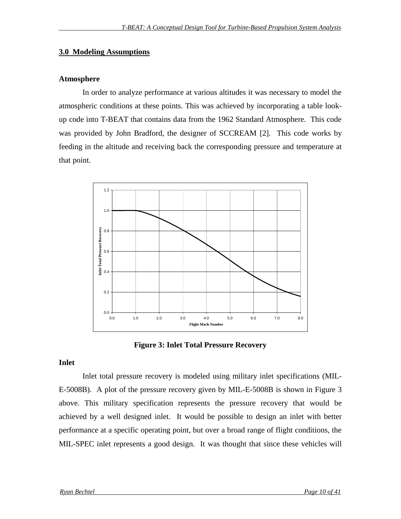#### **3.0 Modeling Assumptions**

#### **Atmosphere**

In order to analyze performance at various altitudes it was necessary to model the atmospheric conditions at these points. This was achieved by incorporating a table lookup code into T-BEAT that contains data from the 1962 Standard Atmosphere. This code was provided by John Bradford, the designer of SCCREAM [2]. This code works by feeding in the altitude and receiving back the corresponding pressure and temperature at that point.



**Figure 3: Inlet Total Pressure Recovery**

#### **Inlet**

Inlet total pressure recovery is modeled using military inlet specifications (MIL-E-5008B). A plot of the pressure recovery given by MIL-E-5008B is shown in Figure 3 above. This military specification represents the pressure recovery that would be achieved by a well designed inlet. It would be possible to design an inlet with better performance at a specific operating point, but over a broad range of flight conditions, the MIL-SPEC inlet represents a good design. It was thought that since these vehicles will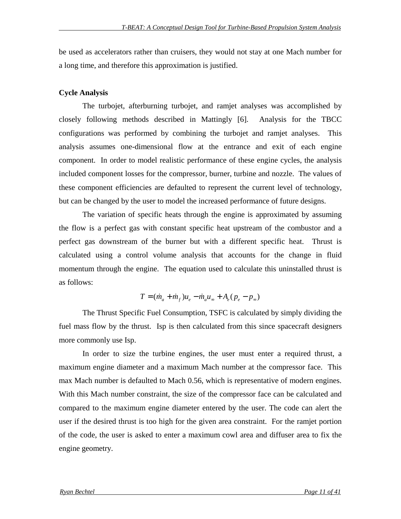be used as accelerators rather than cruisers, they would not stay at one Mach number for a long time, and therefore this approximation is justified.

#### **Cycle Analysis**

The turbojet, afterburning turbojet, and ramjet analyses was accomplished by closely following methods described in Mattingly [6]. Analysis for the TBCC configurations was performed by combining the turbojet and ramjet analyses. This analysis assumes one-dimensional flow at the entrance and exit of each engine component. In order to model realistic performance of these engine cycles, the analysis included component losses for the compressor, burner, turbine and nozzle. The values of these component efficiencies are defaulted to represent the current level of technology, but can be changed by the user to model the increased performance of future designs.

The variation of specific heats through the engine is approximated by assuming the flow is a perfect gas with constant specific heat upstream of the combustor and a perfect gas downstream of the burner but with a different specific heat. Thrust is calculated using a control volume analysis that accounts for the change in fluid momentum through the engine. The equation used to calculate this uninstalled thrust is as follows:

$$
T = (\dot{m}_a + \dot{m}_f)u_e - \dot{m}_a u_\infty + A_e (p_e - p_\infty)
$$

The Thrust Specific Fuel Consumption, TSFC is calculated by simply dividing the fuel mass flow by the thrust. Isp is then calculated from this since spacecraft designers more commonly use Isp.

In order to size the turbine engines, the user must enter a required thrust, a maximum engine diameter and a maximum Mach number at the compressor face. This max Mach number is defaulted to Mach 0.56, which is representative of modern engines. With this Mach number constraint, the size of the compressor face can be calculated and compared to the maximum engine diameter entered by the user. The code can alert the user if the desired thrust is too high for the given area constraint. For the ramjet portion of the code, the user is asked to enter a maximum cowl area and diffuser area to fix the engine geometry.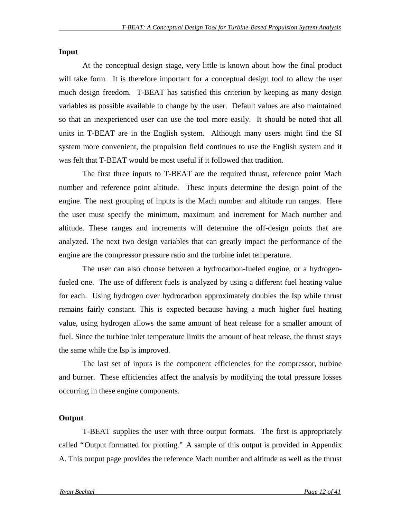#### **Input**

At the conceptual design stage, very little is known about how the final product will take form. It is therefore important for a conceptual design tool to allow the user much design freedom. T-BEAT has satisfied this criterion by keeping as many design variables as possible available to change by the user. Default values are also maintained so that an inexperienced user can use the tool more easily. It should be noted that all units in T-BEAT are in the English system. Although many users might find the SI system more convenient, the propulsion field continues to use the English system and it was felt that T-BEAT would be most useful if it followed that tradition.

The first three inputs to T-BEAT are the required thrust, reference point Mach number and reference point altitude. These inputs determine the design point of the engine. The next grouping of inputs is the Mach number and altitude run ranges. Here the user must specify the minimum, maximum and increment for Mach number and altitude. These ranges and increments will determine the off-design points that are analyzed. The next two design variables that can greatly impact the performance of the engine are the compressor pressure ratio and the turbine inlet temperature.

The user can also choose between a hydrocarbon-fueled engine, or a hydrogenfueled one. The use of different fuels is analyzed by using a different fuel heating value for each. Using hydrogen over hydrocarbon approximately doubles the Isp while thrust remains fairly constant. This is expected because having a much higher fuel heating value, using hydrogen allows the same amount of heat release for a smaller amount of fuel. Since the turbine inlet temperature limits the amount of heat release, the thrust stays the same while the Isp is improved.

The last set of inputs is the component efficiencies for the compressor, turbine and burner. These efficiencies affect the analysis by modifying the total pressure losses occurring in these engine components.

#### **Output**

T-BEAT supplies the user with three output formats. The first is appropriately called "Output formatted for plotting." A sample of this output is provided in Appendix A. This output page provides the reference Mach number and altitude as well as the thrust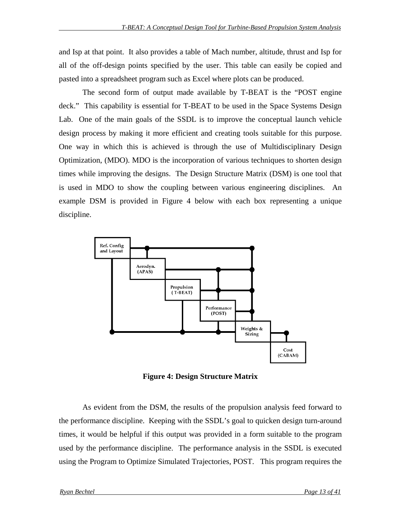and Isp at that point. It also provides a table of Mach number, altitude, thrust and Isp for all of the off-design points specified by the user. This table can easily be copied and pasted into a spreadsheet program such as Excel where plots can be produced.

The second form of output made available by T-BEAT is the "POST engine deck." This capability is essential for T-BEAT to be used in the Space Systems Design Lab. One of the main goals of the SSDL is to improve the conceptual launch vehicle design process by making it more efficient and creating tools suitable for this purpose. One way in which this is achieved is through the use of Multidisciplinary Design Optimization, (MDO). MDO is the incorporation of various techniques to shorten design times while improving the designs. The Design Structure Matrix (DSM) is one tool that is used in MDO to show the coupling between various engineering disciplines. An example DSM is provided in Figure 4 below with each box representing a unique discipline.



**Figure 4: Design Structure Matrix**

As evident from the DSM, the results of the propulsion analysis feed forward to the performance discipline. Keeping with the SSDL's goal to quicken design turn-around times, it would be helpful if this output was provided in a form suitable to the program used by the performance discipline. The performance analysis in the SSDL is executed using the Program to Optimize Simulated Trajectories, POST. This program requires the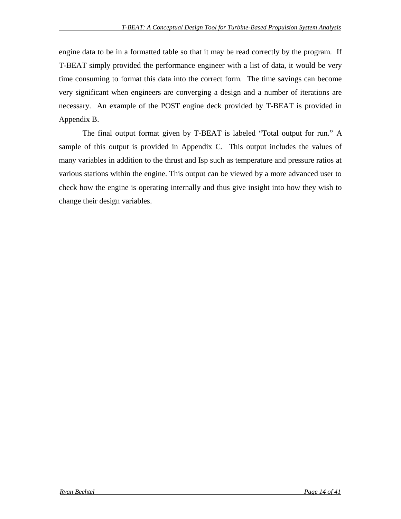engine data to be in a formatted table so that it may be read correctly by the program. If T-BEAT simply provided the performance engineer with a list of data, it would be very time consuming to format this data into the correct form. The time savings can become very significant when engineers are converging a design and a number of iterations are necessary. An example of the POST engine deck provided by T-BEAT is provided in Appendix B.

The final output format given by T-BEAT is labeled "Total output for run." A sample of this output is provided in Appendix C. This output includes the values of many variables in addition to the thrust and Isp such as temperature and pressure ratios at various stations within the engine. This output can be viewed by a more advanced user to check how the engine is operating internally and thus give insight into how they wish to change their design variables.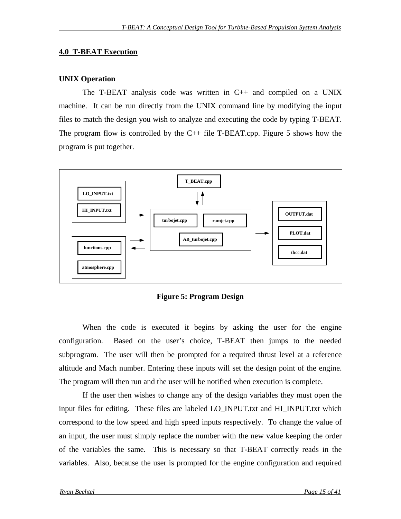#### **4.0 T-BEAT Execution**

#### **UNIX Operation**

The T-BEAT analysis code was written in C++ and compiled on a UNIX machine. It can be run directly from the UNIX command line by modifying the input files to match the design you wish to analyze and executing the code by typing T-BEAT. The program flow is controlled by the  $C++$  file T-BEAT.cpp. Figure 5 shows how the program is put together.



**Figure 5: Program Design**

When the code is executed it begins by asking the user for the engine configuration. Based on the user's choice, T-BEAT then jumps to the needed subprogram. The user will then be prompted for a required thrust level at a reference altitude and Mach number. Entering these inputs will set the design point of the engine. The program will then run and the user will be notified when execution is complete.

If the user then wishes to change any of the design variables they must open the input files for editing. These files are labeled LO\_INPUT.txt and HI\_INPUT.txt which correspond to the low speed and high speed inputs respectively. To change the value of an input, the user must simply replace the number with the new value keeping the order of the variables the same. This is necessary so that T-BEAT correctly reads in the variables. Also, because the user is prompted for the engine configuration and required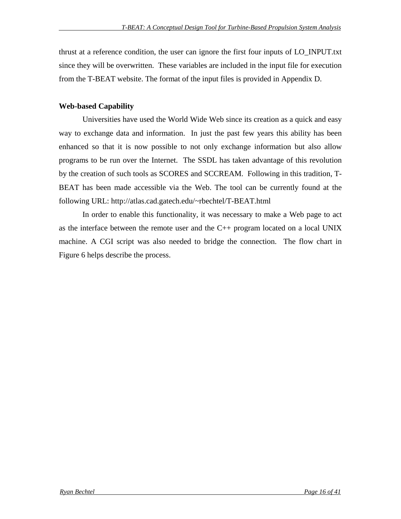thrust at a reference condition, the user can ignore the first four inputs of LO\_INPUT.txt since they will be overwritten. These variables are included in the input file for execution from the T-BEAT website. The format of the input files is provided in Appendix D.

### **Web-based Capability**

Universities have used the World Wide Web since its creation as a quick and easy way to exchange data and information. In just the past few years this ability has been enhanced so that it is now possible to not only exchange information but also allow programs to be run over the Internet. The SSDL has taken advantage of this revolution by the creation of such tools as SCORES and SCCREAM. Following in this tradition, T-BEAT has been made accessible via the Web. The tool can be currently found at the following URL: http://atlas.cad.gatech.edu/~rbechtel/T-BEAT.html

In order to enable this functionality, it was necessary to make a Web page to act as the interface between the remote user and the C++ program located on a local UNIX machine. A CGI script was also needed to bridge the connection. The flow chart in Figure 6 helps describe the process.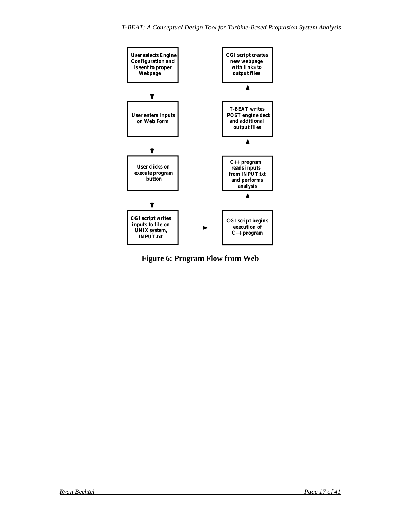

**Figure 6: Program Flow from Web**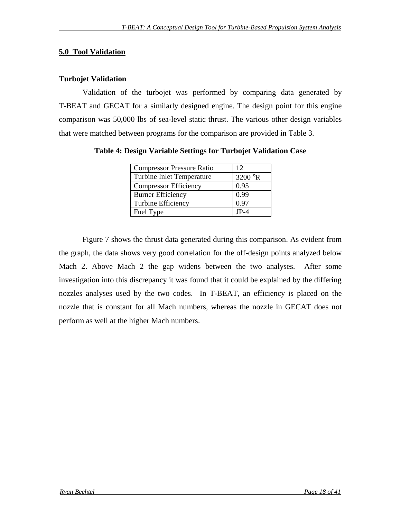### **5.0 Tool Validation**

### **Turbojet Validation**

Validation of the turbojet was performed by comparing data generated by T-BEAT and GECAT for a similarly designed engine. The design point for this engine comparison was 50,000 lbs of sea-level static thrust. The various other design variables that were matched between programs for the comparison are provided in Table 3.

| <b>Compressor Pressure Ratio</b> | 12      |
|----------------------------------|---------|
| Turbine Inlet Temperature        | 3200 °R |
| <b>Compressor Efficiency</b>     | 0.95    |
| <b>Burner Efficiency</b>         | 0.99    |
| <b>Turbine Efficiency</b>        | 0.97    |
| Fuel Type                        | $JP-4$  |

**Table 4: Design Variable Settings for Turbojet Validation Case**

Figure 7 shows the thrust data generated during this comparison. As evident from the graph, the data shows very good correlation for the off-design points analyzed below Mach 2. Above Mach 2 the gap widens between the two analyses. After some investigation into this discrepancy it was found that it could be explained by the differing nozzles analyses used by the two codes. In T-BEAT, an efficiency is placed on the nozzle that is constant for all Mach numbers, whereas the nozzle in GECAT does not perform as well at the higher Mach numbers.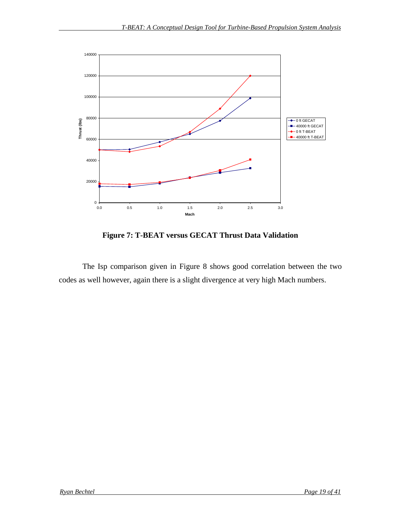

**Figure 7: T-BEAT versus GECAT Thrust Data Validation**

The Isp comparison given in Figure 8 shows good correlation between the two codes as well however, again there is a slight divergence at very high Mach numbers.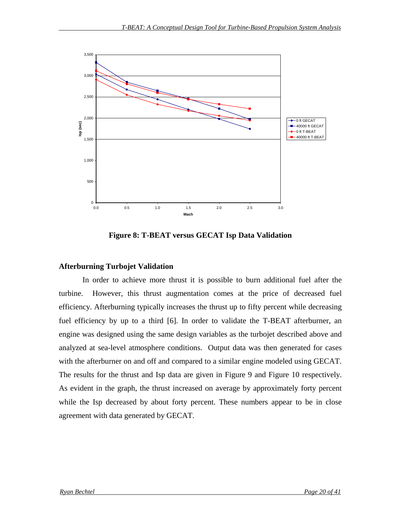

**Figure 8: T-BEAT versus GECAT Isp Data Validation**

#### **Afterburning Turbojet Validation**

In order to achieve more thrust it is possible to burn additional fuel after the turbine. However, this thrust augmentation comes at the price of decreased fuel efficiency. Afterburning typically increases the thrust up to fifty percent while decreasing fuel efficiency by up to a third [6]. In order to validate the T-BEAT afterburner, an engine was designed using the same design variables as the turbojet described above and analyzed at sea-level atmosphere conditions. Output data was then generated for cases with the afterburner on and off and compared to a similar engine modeled using GECAT. The results for the thrust and Isp data are given in Figure 9 and Figure 10 respectively. As evident in the graph, the thrust increased on average by approximately forty percent while the Isp decreased by about forty percent. These numbers appear to be in close agreement with data generated by GECAT.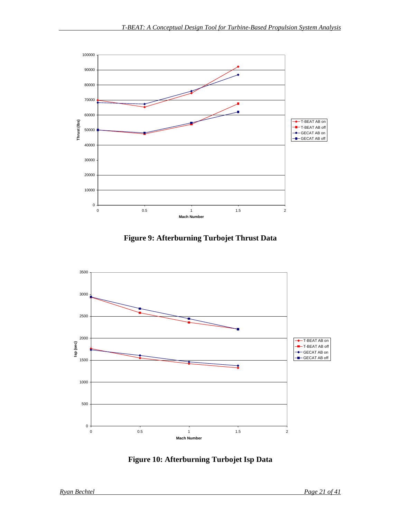

**Figure 9: Afterburning Turbojet Thrust Data**



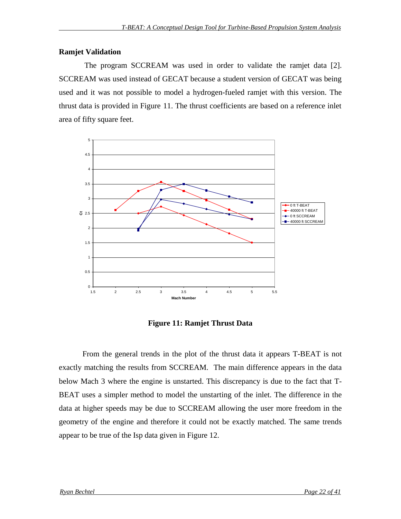### **Ramjet Validation**

 The program SCCREAM was used in order to validate the ramjet data [2]. SCCREAM was used instead of GECAT because a student version of GECAT was being used and it was not possible to model a hydrogen-fueled ramjet with this version. The thrust data is provided in Figure 11. The thrust coefficients are based on a reference inlet area of fifty square feet.



**Figure 11: Ramjet Thrust Data**

From the general trends in the plot of the thrust data it appears T-BEAT is not exactly matching the results from SCCREAM. The main difference appears in the data below Mach 3 where the engine is unstarted. This discrepancy is due to the fact that T-BEAT uses a simpler method to model the unstarting of the inlet. The difference in the data at higher speeds may be due to SCCREAM allowing the user more freedom in the geometry of the engine and therefore it could not be exactly matched. The same trends appear to be true of the Isp data given in Figure 12.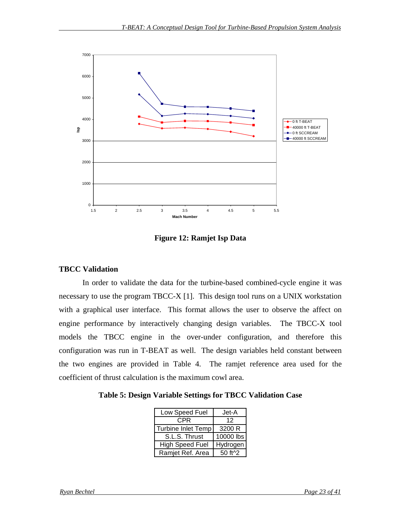

**Figure 12: Ramjet Isp Data**

### **TBCC Validation**

In order to validate the data for the turbine-based combined-cycle engine it was necessary to use the program TBCC-X [1]. This design tool runs on a UNIX workstation with a graphical user interface. This format allows the user to observe the affect on engine performance by interactively changing design variables. The TBCC-X tool models the TBCC engine in the over-under configuration, and therefore this configuration was run in T-BEAT as well. The design variables held constant between the two engines are provided in Table 4. The ramjet reference area used for the coefficient of thrust calculation is the maximum cowl area.

**Table 5: Design Variable Settings for TBCC Validation Case**

| Low Speed Fuel         | Jet-A        |
|------------------------|--------------|
| CPR                    | 12           |
| Turbine Inlet Temp     | 3200 R       |
| S.L.S. Thrust          | 10000 lbs    |
| <b>High Speed Fuel</b> | Hydrogen     |
| Ramjet Ref. Area       | $50$ ft $^2$ |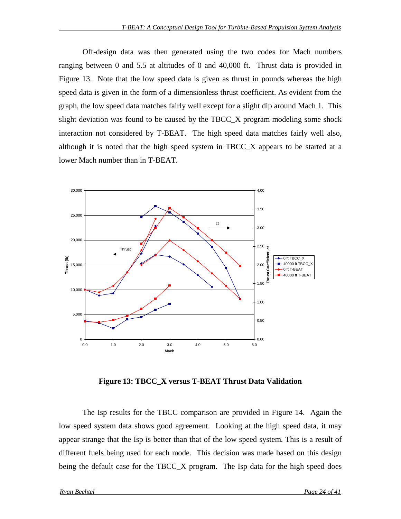Off-design data was then generated using the two codes for Mach numbers ranging between 0 and 5.5 at altitudes of 0 and 40,000 ft. Thrust data is provided in Figure 13. Note that the low speed data is given as thrust in pounds whereas the high speed data is given in the form of a dimensionless thrust coefficient. As evident from the graph, the low speed data matches fairly well except for a slight dip around Mach 1. This slight deviation was found to be caused by the TBCC\_X program modeling some shock interaction not considered by T-BEAT. The high speed data matches fairly well also, although it is noted that the high speed system in TBCC\_X appears to be started at a lower Mach number than in T-BEAT.



**Figure 13: TBCC\_X versus T-BEAT Thrust Data Validation**

The Isp results for the TBCC comparison are provided in Figure 14. Again the low speed system data shows good agreement. Looking at the high speed data, it may appear strange that the Isp is better than that of the low speed system. This is a result of different fuels being used for each mode. This decision was made based on this design being the default case for the TBCC\_X program. The Isp data for the high speed does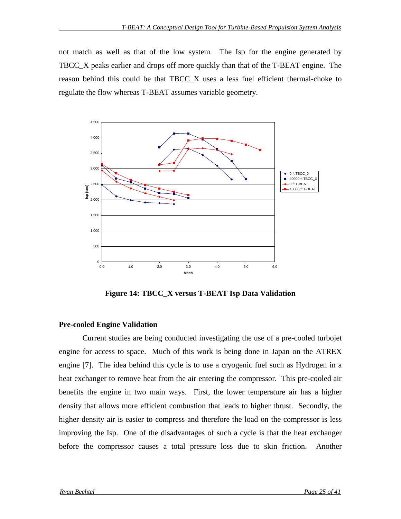not match as well as that of the low system. The Isp for the engine generated by TBCC\_X peaks earlier and drops off more quickly than that of the T-BEAT engine. The reason behind this could be that TBCC\_X uses a less fuel efficient thermal-choke to regulate the flow whereas T-BEAT assumes variable geometry.



**Figure 14: TBCC\_X versus T-BEAT Isp Data Validation**

### **Pre-cooled Engine Validation**

Current studies are being conducted investigating the use of a pre-cooled turbojet engine for access to space. Much of this work is being done in Japan on the ATREX engine [7]. The idea behind this cycle is to use a cryogenic fuel such as Hydrogen in a heat exchanger to remove heat from the air entering the compressor. This pre-cooled air benefits the engine in two main ways. First, the lower temperature air has a higher density that allows more efficient combustion that leads to higher thrust. Secondly, the higher density air is easier to compress and therefore the load on the compressor is less improving the Isp. One of the disadvantages of such a cycle is that the heat exchanger before the compressor causes a total pressure loss due to skin friction. Another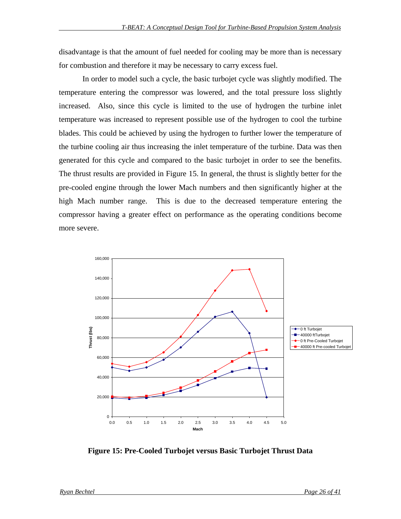disadvantage is that the amount of fuel needed for cooling may be more than is necessary for combustion and therefore it may be necessary to carry excess fuel.

In order to model such a cycle, the basic turbojet cycle was slightly modified. The temperature entering the compressor was lowered, and the total pressure loss slightly increased. Also, since this cycle is limited to the use of hydrogen the turbine inlet temperature was increased to represent possible use of the hydrogen to cool the turbine blades. This could be achieved by using the hydrogen to further lower the temperature of the turbine cooling air thus increasing the inlet temperature of the turbine. Data was then generated for this cycle and compared to the basic turbojet in order to see the benefits. The thrust results are provided in Figure 15. In general, the thrust is slightly better for the pre-cooled engine through the lower Mach numbers and then significantly higher at the high Mach number range. This is due to the decreased temperature entering the compressor having a greater effect on performance as the operating conditions become more severe.



**Figure 15: Pre-Cooled Turbojet versus Basic Turbojet Thrust Data**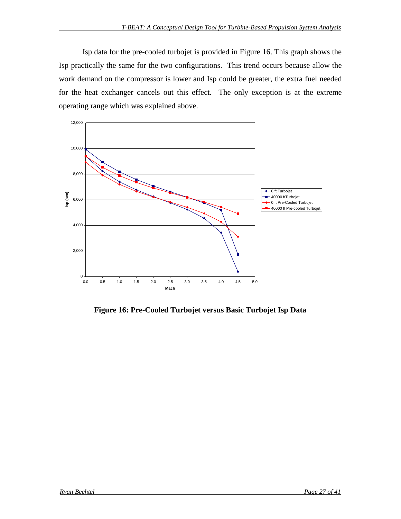Isp data for the pre-cooled turbojet is provided in Figure 16. This graph shows the Isp practically the same for the two configurations. This trend occurs because allow the work demand on the compressor is lower and Isp could be greater, the extra fuel needed for the heat exchanger cancels out this effect. The only exception is at the extreme operating range which was explained above.



**Figure 16: Pre-Cooled Turbojet versus Basic Turbojet Isp Data**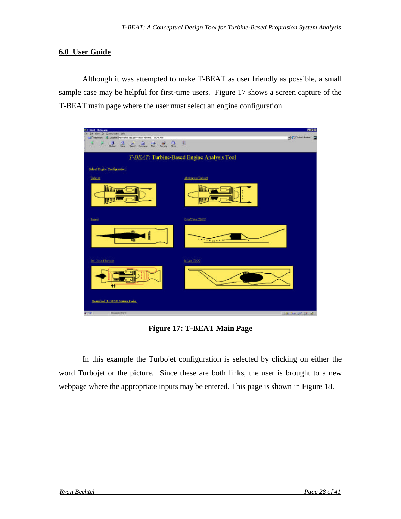### **6.0 User Guide**

Although it was attempted to make T-BEAT as user friendly as possible, a small sample case may be helpful for first-time users. Figure 17 shows a screen capture of the T-BEAT main page where the user must select an engine configuration.

| <b>SET OF AT - National SET</b>                                                                                                                                                                                           |                                            | 馬口口                           |
|---------------------------------------------------------------------------------------------------------------------------------------------------------------------------------------------------------------------------|--------------------------------------------|-------------------------------|
| Ed Ver Se Connacato Help<br>Coolman: A Leoner Portfolio net prechadul "berkisi" Brat Hei                                                                                                                                  |                                            | <b>C</b> C ManRison <b>CO</b> |
|                                                                                                                                                                                                                           |                                            |                               |
| $\frac{\partial}{\partial x^2} = \frac{\partial}{\partial y^2} = \frac{\partial}{\partial x^2} = \frac{\partial}{\partial y^2} = \frac{\partial}{\partial x^2}$<br>¥<br>$\frac{1}{200}$<br>品品<br><b>Part of Fourte In</b> | 团<br><b>TOWN</b>                           |                               |
|                                                                                                                                                                                                                           |                                            |                               |
|                                                                                                                                                                                                                           | T-BEAT: Turbine-Based Engine Analysis Tool |                               |
| Select Engine Configuration:                                                                                                                                                                                              |                                            |                               |
| Tebori                                                                                                                                                                                                                    | Alle do estuar The board                   |                               |
| <b>HILL THE</b>                                                                                                                                                                                                           | llilit                                     |                               |
| <b>Earned</b>                                                                                                                                                                                                             | Overflicker TBCC                           |                               |
| ø۵<br>Œ                                                                                                                                                                                                                   | $-1$<br>$\sim$                             |                               |
| <b>Free Cooled Trailways</b>                                                                                                                                                                                              | fa-Lice TROC                               |                               |
| ₩                                                                                                                                                                                                                         |                                            |                               |
| Developd T-BEAT Source Code                                                                                                                                                                                               |                                            |                               |
| $\mathbf{z}$<br>Donemy Cere                                                                                                                                                                                               |                                            | <b>THE AN UP OF A</b>         |

**Figure 17: T-BEAT Main Page**

In this example the Turbojet configuration is selected by clicking on either the word Turbojet or the picture. Since these are both links, the user is brought to a new webpage where the appropriate inputs may be entered. This page is shown in Figure 18.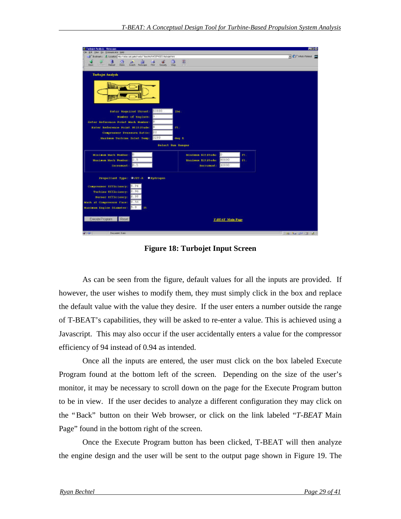| <b>S Farboird Analysis - Netecape</b>                                                  |                                         | 再打印                     |
|----------------------------------------------------------------------------------------|-----------------------------------------|-------------------------|
| in Ell your Go Commission Help                                                         |                                         |                         |
| F Solmer: L Locator McCratical perinets' bichi-MCEY-IES-hibrarhes                      |                                         | - CS' Metrifesed        |
|                                                                                        | n                                       |                         |
| <b>Grandy Kennane</b><br><b>Mack</b><br><b>Fielding</b><br><b>Cluz</b><br><b>Thurs</b> |                                         |                         |
|                                                                                        |                                         |                         |
| <b>Turhojet Analysis</b>                                                               |                                         |                         |
|                                                                                        |                                         |                         |
|                                                                                        |                                         |                         |
|                                                                                        |                                         |                         |
|                                                                                        |                                         |                         |
|                                                                                        |                                         |                         |
|                                                                                        |                                         |                         |
|                                                                                        |                                         |                         |
| 50100<br><b>Natur Buquirod Threst:</b><br>Dist                                         |                                         |                         |
|                                                                                        |                                         |                         |
| Number of Engines:                                                                     |                                         |                         |
| Enter Reference Point Mach Munber:                                                     |                                         |                         |
| et.<br>Enter Reference Point Atlitiche:                                                |                                         |                         |
| 22<br>Compressor Frezeure Batio:                                                       |                                         |                         |
| 3210<br><b>Maximum Turbine Inlet Temp:</b>                                             |                                         |                         |
|                                                                                        | deg R                                   |                         |
| Solact Run Ranges                                                                      |                                         |                         |
|                                                                                        |                                         |                         |
| Minlaum Mach Sunbox:                                                                   | ΙŪ<br><b>Minimum Altitude:</b><br>ft.   |                         |
| 15<br>Maximum Mach Sumbor:                                                             | 80000<br>Đ.<br><b>Haximum Altitude:</b> |                         |
| 0.5                                                                                    | 10000                                   |                         |
| Thorescot (                                                                            | Dictionont:                             |                         |
|                                                                                        |                                         |                         |
| Propellant Type: OJET-A<br><b><i>Dipdroqun</i></b>                                     |                                         |                         |
|                                                                                        |                                         |                         |
| 0.94<br>Compressor Efficiency:                                                         |                                         |                         |
| 0.96<br>Turbine Efficiency:                                                            |                                         |                         |
| 0.99<br>Numer Efficiency:                                                              |                                         |                         |
|                                                                                        |                                         |                         |
| [0.56]<br>Mach at Compressor Face:                                                     |                                         |                         |
| $B - D$<br>Maximum Engine Diameter:<br><b>Tt</b>                                       |                                         |                         |
|                                                                                        |                                         |                         |
| Execute Program<br>Reset                                                               | T-BEAT Main Page                        |                         |
|                                                                                        |                                         |                         |
|                                                                                        |                                         |                         |
| <b>MITAL</b><br>Document, Il rec-                                                      |                                         |                         |
|                                                                                        |                                         | <b>THE ALL UP IS AN</b> |

**Figure 18: Turbojet Input Screen**

As can be seen from the figure, default values for all the inputs are provided. If however, the user wishes to modify them, they must simply click in the box and replace the default value with the value they desire. If the user enters a number outside the range of T-BEAT's capabilities, they will be asked to re-enter a value. This is achieved using a Javascript. This may also occur if the user accidentally enters a value for the compressor efficiency of 94 instead of 0.94 as intended.

Once all the inputs are entered, the user must click on the box labeled Execute Program found at the bottom left of the screen. Depending on the size of the user's monitor, it may be necessary to scroll down on the page for the Execute Program button to be in view. If the user decides to analyze a different configuration they may click on the "Back" button on their Web browser, or click on the link labeled "*T-BEAT* Main Page" found in the bottom right of the screen.

Once the Execute Program button has been clicked, T-BEAT will then analyze the engine design and the user will be sent to the output page shown in Figure 19. The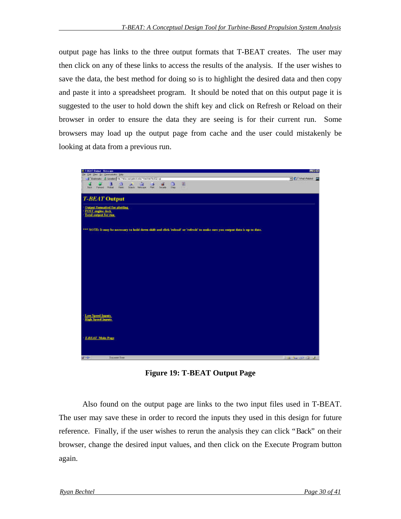output page has links to the three output formats that T-BEAT creates. The user may then click on any of these links to access the results of the analysis. If the user wishes to save the data, the best method for doing so is to highlight the desired data and then copy and paste it into a spreadsheet program. It should be noted that on this output page it is suggested to the user to hold down the shift key and click on Refresh or Reload on their browser in order to ensure the data they are seeing is for their current run. Some browsers may load up the output page from cache and the user could mistakenly be looking at data from a previous run.



**Figure 19: T-BEAT Output Page**

Also found on the output page are links to the two input files used in T-BEAT. The user may save these in order to record the inputs they used in this design for future reference. Finally, if the user wishes to rerun the analysis they can click "Back" on their browser, change the desired input values, and then click on the Execute Program button again.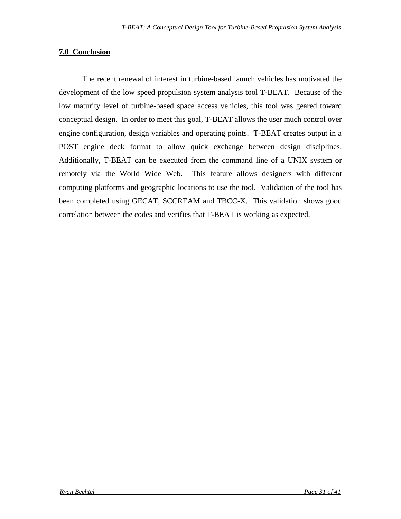### **7.0 Conclusion**

The recent renewal of interest in turbine-based launch vehicles has motivated the development of the low speed propulsion system analysis tool T-BEAT. Because of the low maturity level of turbine-based space access vehicles, this tool was geared toward conceptual design. In order to meet this goal, T-BEAT allows the user much control over engine configuration, design variables and operating points. T-BEAT creates output in a POST engine deck format to allow quick exchange between design disciplines. Additionally, T-BEAT can be executed from the command line of a UNIX system or remotely via the World Wide Web. This feature allows designers with different computing platforms and geographic locations to use the tool. Validation of the tool has been completed using GECAT, SCCREAM and TBCC-X. This validation shows good correlation between the codes and verifies that T-BEAT is working as expected.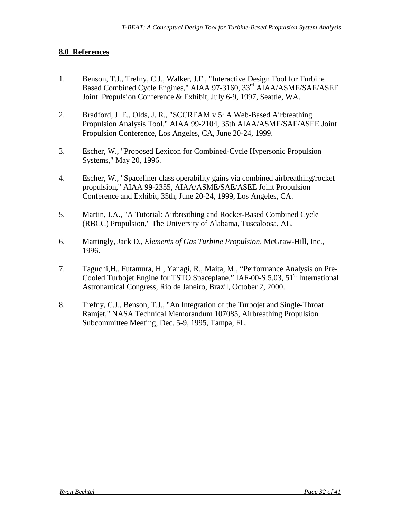### **8.0 References**

- 1. Benson, T.J., Trefny, C.J., Walker, J.F., "Interactive Design Tool for Turbine Based Combined Cycle Engines," AIAA 97-3160, 33<sup>rd</sup> AIAA/ASME/SAE/ASEE Joint Propulsion Conference & Exhibit, July 6-9, 1997, Seattle, WA.
- 2. Bradford, J. E., Olds, J. R., "SCCREAM v.5: A Web-Based Airbreathing Propulsion Analysis Tool," AIAA 99-2104, 35th AIAA/ASME/SAE/ASEE Joint Propulsion Conference, Los Angeles, CA, June 20-24, 1999.
- 3. Escher, W., "Proposed Lexicon for Combined-Cycle Hypersonic Propulsion Systems," May 20, 1996.
- 4. Escher, W., "Spaceliner class operability gains via combined airbreathing/rocket propulsion," AIAA 99-2355, AIAA/ASME/SAE/ASEE Joint Propulsion Conference and Exhibit, 35th, June 20-24, 1999, Los Angeles, CA.
- 5. Martin, J.A., "A Tutorial: Airbreathing and Rocket-Based Combined Cycle (RBCC) Propulsion," The University of Alabama, Tuscaloosa, AL.
- 6. Mattingly, Jack D., *Elements of Gas Turbine Propulsion,* McGraw-Hill, Inc., 1996.
- 7. Taguchi,H., Futamura, H., Yanagi, R., Maita, M., "Performance Analysis on Pre-Cooled Turbojet Engine for TSTO Spaceplane," IAF-00-S.5.03, 51<sup>st</sup> International Astronautical Congress, Rio de Janeiro, Brazil, October 2, 2000.
- 8. Trefny, C.J., Benson, T.J., "An Integration of the Turbojet and Single-Throat Ramjet," NASA Technical Memorandum 107085, Airbreathing Propulsion Subcommittee Meeting, Dec. 5-9, 1995, Tampa, FL.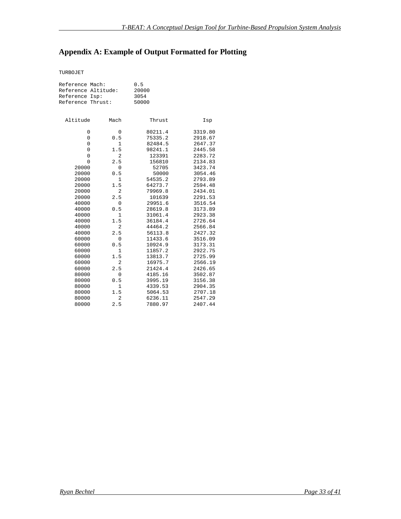# **Appendix A: Example of Output Formatted for Plotting**

TURBOJET

| Reference Mach:<br>Reference Altitude:<br>Isp:<br>Reference<br>Reference Thrust: |                | 0.5<br>20000<br>3054<br>50000 |         |
|----------------------------------------------------------------------------------|----------------|-------------------------------|---------|
| Altitude                                                                         | Mach           | Thrust                        | Isp     |
| 0                                                                                | 0              | 80211.4                       | 3319.80 |
| 0                                                                                | 0.5            | 75335.2                       | 2918.67 |
| 0                                                                                | $\mathbf{1}$   | 82484.5                       | 2647.37 |
| 0                                                                                | 1.5            | 98241.1                       | 2445.58 |
| $\mathsf 0$                                                                      | $\overline{2}$ | 123391                        | 2283.72 |
| $\mathbf 0$                                                                      | 2.5            | 156810                        | 2134.83 |
| 20000                                                                            | $\mathbf 0$    | 52705                         | 3423.74 |
| 20000                                                                            | 0.5            | 50000                         | 3054.46 |
| 20000                                                                            | $\mathbf{1}$   | 54535.2                       | 2793.89 |
| 20000                                                                            | 1.5            | 64273.7                       | 2594.48 |
| 20000                                                                            | $\overline{2}$ | 79969.8                       | 2434.01 |
| 20000                                                                            | 2.5            | 101639                        | 2291.53 |
| 40000                                                                            | 0              | 29951.6                       | 3516.54 |
| 40000                                                                            | 0.5            | 28619.8                       | 3173.89 |
| 40000                                                                            | $\mathbf{1}$   | 31061.4                       | 2923.38 |
| 40000                                                                            | 1.5            | 36184.4                       | 2726.64 |
| 40000                                                                            | $\overline{2}$ | 44464.2                       | 2566.84 |
| 40000                                                                            | 2.5            | 56113.8                       | 2427.32 |
| 60000                                                                            | 0              | 11433.6                       | 3516.09 |
| 60000                                                                            | 0.5            | 10924.9                       | 3173.31 |
| 60000                                                                            | $\mathbf{1}$   | 11857.2                       | 2922.75 |
| 60000                                                                            | 1.5            | 13813.7                       | 2725.99 |
| 60000                                                                            | $\overline{2}$ | 16975.7                       | 2566.19 |
| 60000                                                                            | 2.5            | 21424.4                       | 2426.65 |
| 80000                                                                            | 0              | 4185.16                       | 3502.87 |
| 80000                                                                            | 0.5            | 3995.19                       | 3156.38 |
| 80000                                                                            | 1              | 4339.53                       | 2904.35 |
| 80000                                                                            | 1.5            | 5064.53                       | 2707.18 |
| 80000                                                                            | $\overline{2}$ | 6236.11                       | 2547.29 |
| 80000                                                                            | 2.5            | 7880.97                       | 2407.44 |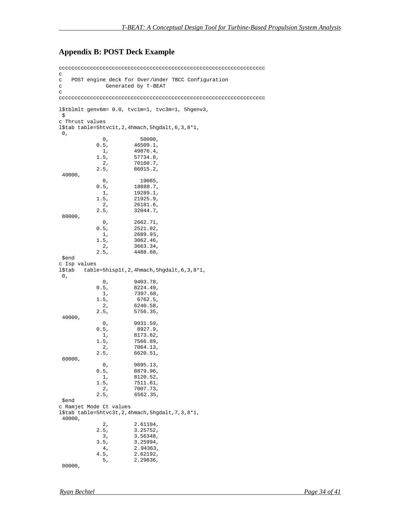#### **Appendix B: POST Deck Example**

cccccccccccccccccccccccccccccccccccccccccccccccccccccccccccccccccc c c POST engine deck for Over/Under TBCC Configuration c Generated by T-BEAT c cccccccccccccccccccccccccccccccccccccccccccccccccccccccccccccccccc l\$tblmlt genv6m= 0.0, tvc1m=1, tvc3m=1, 5hgenv3, \$ c Thrust values l\$tab table=5htvc1t,2,4hmach,5hgdalt,6,3,8\*1,  $0,$  $0,$  50000,<br>0.5, 46509.1, 0.5, 46509.1,<br>1, 49876.4, 1, 49876.4, 1.5, 57734.8,<br>2, 70160.7,  $2, 70160.7,$ <br> $2.5, 86015.2,$  $86015.2,$  40000,  $0,$  19085, 19085, 18088.7, 18088.7,  $1,$  19289.1,<br>1.5, 21925.9, 1.5, 21925.9,<br>2, 26181.6, 2, 26181.6,  $2.5, 32044.7,$  80000,  $0,$  2662.71,<br>0.5, 2521.02, 0.5, 2521.02,  $1, 2689.95,$ <br>1.5, 3062.46, 1.5, 3062.46,<br>2, 3663.34, 2, 3663.34,  $2.5, 4488.68,$  \$end c Isp values l\$tab table=5hisp1t,2,4hmach,5hgdalt,6,3,8\*1,  $0$ ,  $0,$  9403.78,<br>0.5, 8224.49,  $8224.49,$  $1, 7397.68,$ <br> $1.5, 6762.5,$  $6762.5,$ 2, 6240.58,<br>2.5, 5756.35, 2.5, 5756.35, 40000,  $0,$  9931.59,<br>0.5, 8927.9, 0.5, 8927.9,<br>1, 8173.62,  $1,$  8173.62,<br>1.5, 7566.89, 1.5, 7566.89,<br>2, 7064.13, 2, 7064.13,<br>2.5, 6620.51,  $6620.51,$  80000,  $0,$  9895.13,<br>0.5, 8879.96, 1, 8879.96,<br>1, 8120.52, 1, 8120.52,<br>1.5, 7511.61, 1.5, 7511.61,<br>2, 7007.73, 2, 7007.73,<br>2.5, 6562.35, 2.5, 6562.35, \$end c Ramjet Mode Ct values l\$tab table=5htvc3t,2,4hmach,5hgdalt,7,3,8\*1, 40000,  $2, 2.61104,$ <br> $2.5, 3.25752,$ 2.5, 3.25752,<br>3, 3.56348,  $3, 3.56348,$  $3.5, 3.25994,$  $4, 2.94363,$ <br> $4.5, 2.62192,$  $4.5, 2.62192,$  $5, 2.29836,$ 80000,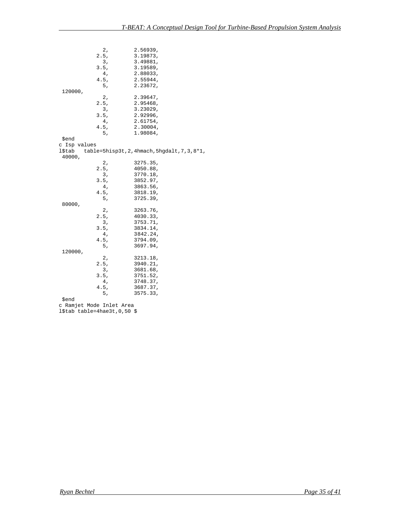$2, 2.56939,$ <br> $2.5, 3.19873,$  2.5, 3.19873, 3, 3.49881,  $3.5, 3.19589,$ <br>4, 2.88033, 4, 2.88033,  $4.5, 2.55944,$  $5, 2.23672,$  120000,  $2, 2.39647,$  $2.5, 2.95468,$  $\frac{3}{3}$ ,  $\frac{3}{2}$ ,  $\frac{323029}{2}$ ,  $\frac{3}{2}$ ,  $\frac{292996}{2}$  $\begin{array}{cc} 3.5, & 2.92996, \\ 4, & 2.61754, \end{array}$  4, 2.61754,  $4.5, 2.30004,$  5, 1.98084, \$end c Isp values l\$tab table=5hisp3t,2,4hmach,5hgdalt,7,3,8\*1, 40000, 2, 3275.35,  $2.5, 4050.88,$  3, 3770.18, 3.5, 3852.97, 4, 3863.56,  $4.5, 3818.19,$  5, 3725.39, 80000,  $2, 3263.76,$ <br> $2.5, 4030.33,$  $2.5, 4030.33,$  3, 3753.71,  $3.5,$   $3834.14,$  $4, 3842.24,$  $4.5, 3794.09,$  $5, 3697.94,$  120000, 2, 3213.18,  $2.5, 3940.21,$  3, 3681.68, 3.5, 3751.52, 4, 3748.37,  $4.5, 3687.37,$  $5, 3575.33,$  \$end c Ramjet Mode Inlet Area

l\$tab table=4hae3t,0,50 \$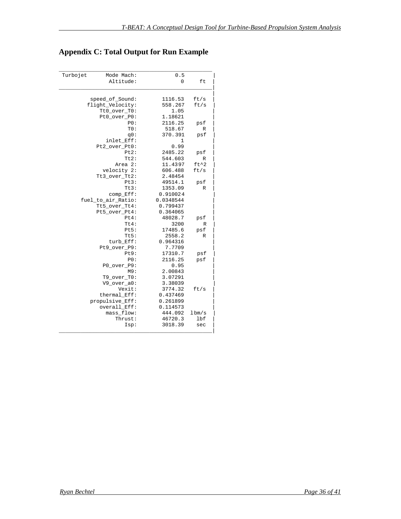# **Appendix C: Total Output for Run Example**

| Turbojet | Mode Mach:         | 0.5       |                 |
|----------|--------------------|-----------|-----------------|
|          | Altitude:          | $\Omega$  | ft              |
|          |                    |           |                 |
|          |                    |           |                 |
|          | speed_of_Sound:    | 1116.53   | ft/s            |
|          | flight_Velocity:   | 558.267   | ft/s            |
|          | Tt0_over_T0:       | 1.05      |                 |
|          | Pt0_over_P0:       | 1.18621   |                 |
|          | PO:                | 2116.25   | psf             |
|          | TO:                | 518.67    | R               |
|          | q0:                | 370.391   | psf             |
|          | inlet Eff:         | 1         |                 |
|          | Pt2_over_Pt0:      | 0.99      |                 |
|          | Pt2:               | 2485.22   | psf             |
|          | $Tt2$ :            | 544.603   | R               |
|          | Area 2:            | 11.4397   | $ft^2$          |
|          | velocity 2:        | 606.488   | ft/s            |
|          | Tt3_over_Tt2:      | 2.48454   |                 |
|          | Pt3:               | 49514.1   | psf             |
|          | $Tt3$ :            | 1353.09   | R               |
|          | $comp_Eff$ :       | 0.910024  |                 |
|          | fuel_to_air_Ratio: | 0.0348544 |                 |
|          | Tt5_over_Tt4:      | 0.799437  |                 |
|          | Pt5_over_Pt4:      | 0.364065  |                 |
|          | Pt4:               | 48028.7   | psf             |
|          | $Tt4$ :            | 3200      | R               |
|          | Pt5:               | 17485.6   | psf             |
|          | Tt5:               | 2558.2    | R               |
|          | turb Eff:          | 0.964316  |                 |
|          | Pt9_over_P9:       | 7.7709    |                 |
|          | Pt9:               | 17310.7   | psf             |
|          | PO:                | 2116.25   | psf             |
|          | P0_over_P9:        | 0.95      |                 |
|          | M9:                | 2.00843   |                 |
|          | $T9_{over\_T0}:$   | 3.07291   |                 |
|          | V9 over a0:        | 3.38039   |                 |
|          | Vexit:             | 3774.32   | ft/s            |
|          | thermal Eff:       | 0.437469  |                 |
|          | propulsive_Eff:    | 0.261899  |                 |
|          | overall_Eff:       | 0.114573  |                 |
|          | mass_flow:         | 444.092   | $1 \text{bm/s}$ |
|          | Thrust:            | 46720.3   | lbf             |
|          | Isp:               | 3018.39   | sec             |
|          |                    |           |                 |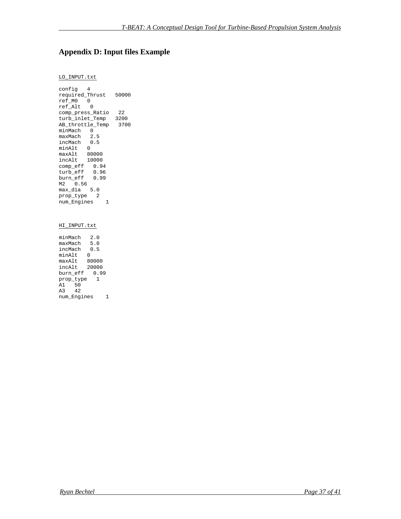### **Appendix D: Input files Example**

#### LO\_INPUT.txt

config 4 required\_Thrust 50000 ref\_M0 0 ref\_Alt 0 comp\_press\_Ratio 22 turb\_inlet\_Temp 3200 AB\_throttle\_Temp 3700 minMach 0 maxMach 2.5 incMach 0.5 minAlt 0 maxAlt 80000 incAlt 10000 comp\_eff 0.94 turb\_eff 0.96 burn\_eff 0.99  $M2 - 0.56$ max\_dia 5.0 prop\_type 2 num\_Engines 1

#### HI\_INPUT.txt

minMach 2.0 maxMach 5.0 incMach 0.5 minAlt 0 maxAlt 80000 incAlt 20000 burn\_eff 0.99 prop\_type 1 A1 50 A3 42 num\_Engines 1